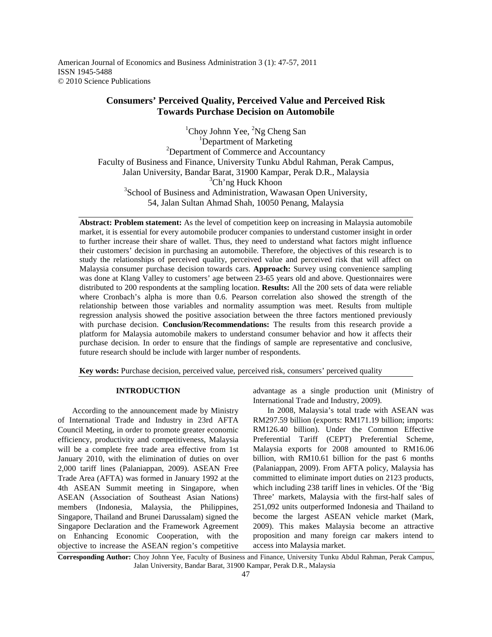American Journal of Economics and Business Administration 3 (1): 47-57, 2011 ISSN 1945-5488 © 2010 Science Publications

# **Consumers' Perceived Quality, Perceived Value and Perceived Risk Towards Purchase Decision on Automobile**

 ${}^{1}$ Choy Johnn Yee,  ${}^{2}$ Ng Cheng San <sup>1</sup>Department of Marketing <sup>2</sup>Department of Commerce and Accountancy Faculty of Business and Finance, University Tunku Abdul Rahman, Perak Campus, Jalan University, Bandar Barat, 31900 Kampar, Perak D.R., Malaysia <sup>3</sup>Ch'ng Huck Khoon <sup>3</sup>School of Business and Administration, Wawasan Open University, 54, Jalan Sultan Ahmad Shah, 10050 Penang, Malaysia

**Abstract: Problem statement:** As the level of competition keep on increasing in Malaysia automobile market, it is essential for every automobile producer companies to understand customer insight in order to further increase their share of wallet. Thus, they need to understand what factors might influence their customers' decision in purchasing an automobile. Therefore, the objectives of this research is to study the relationships of perceived quality, perceived value and perceived risk that will affect on Malaysia consumer purchase decision towards cars. **Approach:** Survey using convenience sampling was done at Klang Valley to customers' age between 23-65 years old and above. Questionnaires were distributed to 200 respondents at the sampling location. **Results:** All the 200 sets of data were reliable where Cronbach's alpha is more than 0.6. Pearson correlation also showed the strength of the relationship between those variables and normality assumption was meet. Results from multiple regression analysis showed the positive association between the three factors mentioned previously with purchase decision. **Conclusion/Recommendations:** The results from this research provide a platform for Malaysia automobile makers to understand consumer behavior and how it affects their purchase decision. In order to ensure that the findings of sample are representative and conclusive, future research should be include with larger number of respondents.

**Key words:** Purchase decision, perceived value, perceived risk, consumers' perceived quality

#### **INTRODUCTION**

 According to the announcement made by Ministry of International Trade and Industry in 23rd AFTA Council Meeting, in order to promote greater economic efficiency, productivity and competitiveness, Malaysia will be a complete free trade area effective from 1st January 2010, with the elimination of duties on over 2,000 tariff lines (Palaniappan, 2009). ASEAN Free Trade Area (AFTA) was formed in January 1992 at the 4th ASEAN Summit meeting in Singapore, when ASEAN (Association of Southeast Asian Nations) members (Indonesia, Malaysia, the Philippines, Singapore, Thailand and Brunei Darussalam) signed the Singapore Declaration and the Framework Agreement on Enhancing Economic Cooperation, with the objective to increase the ASEAN region's competitive

advantage as a single production unit (Ministry of International Trade and Industry, 2009).

 In 2008, Malaysia's total trade with ASEAN was RM297.59 billion (exports: RM171.19 billion; imports: RM126.40 billion). Under the Common Effective Preferential Tariff (CEPT) Preferential Scheme, Malaysia exports for 2008 amounted to RM16.06 billion, with RM10.61 billion for the past 6 months (Palaniappan, 2009). From AFTA policy, Malaysia has committed to eliminate import duties on 2123 products, which including 238 tariff lines in vehicles. Of the 'Big Three' markets, Malaysia with the first-half sales of 251,092 units outperformed Indonesia and Thailand to become the largest ASEAN vehicle market (Mark, 2009). This makes Malaysia become an attractive proposition and many foreign car makers intend to access into Malaysia market.

**Corresponding Author:** Choy Johnn Yee, Faculty of Business and Finance, University Tunku Abdul Rahman, Perak Campus, Jalan University, Bandar Barat, 31900 Kampar, Perak D.R., Malaysia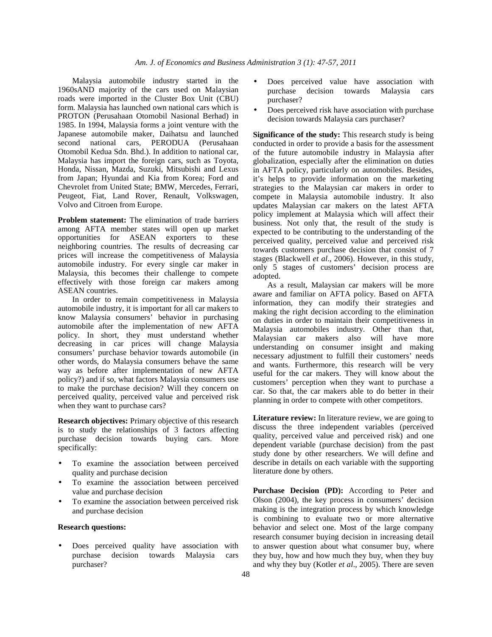Malaysia automobile industry started in the 1960sAND majority of the cars used on Malaysian roads were imported in the Cluster Box Unit (CBU) form. Malaysia has launched own national cars which is PROTON (Perusahaan Otomobil Nasional Berhad) in 1985. In 1994, Malaysia forms a joint venture with the Japanese automobile maker, Daihatsu and launched second national cars, PERODUA (Perusahaan Otomobil Kedua Sdn. Bhd.). In addition to national car, Malaysia has import the foreign cars, such as Toyota, Honda, Nissan, Mazda, Suzuki, Mitsubishi and Lexus from Japan; Hyundai and Kia from Korea; Ford and Chevrolet from United State; BMW, Mercedes, Ferrari, Peugeot, Fiat, Land Rover, Renault, Volkswagen, Volvo and Citroen from Europe.

**Problem statement:** The elimination of trade barriers among AFTA member states will open up market opportunities for ASEAN exporters to these neighboring countries. The results of decreasing car prices will increase the competitiveness of Malaysia automobile industry. For every single car maker in Malaysia, this becomes their challenge to compete effectively with those foreign car makers among ASEAN countries.

 In order to remain competitiveness in Malaysia automobile industry, it is important for all car makers to know Malaysia consumers' behavior in purchasing automobile after the implementation of new AFTA policy. In short, they must understand whether decreasing in car prices will change Malaysia consumers' purchase behavior towards automobile (in other words, do Malaysia consumers behave the same way as before after implementation of new AFTA policy?) and if so, what factors Malaysia consumers use to make the purchase decision? Will they concern on perceived quality, perceived value and perceived risk when they want to purchase cars?

**Research objectives:** Primary objective of this research is to study the relationships of 3 factors affecting purchase decision towards buying cars. More specifically:

- To examine the association between perceived quality and purchase decision
- To examine the association between perceived value and purchase decision
- To examine the association between perceived risk and purchase decision

## **Research questions:**

Does perceived quality have association with purchase decision towards Malaysia cars purchaser?

- Does perceived value have association with purchase decision towards Malaysia cars purchaser?
- Does perceived risk have association with purchase decision towards Malaysia cars purchaser?

**Significance of the study:** This research study is being conducted in order to provide a basis for the assessment of the future automobile industry in Malaysia after globalization, especially after the elimination on duties in AFTA policy, particularly on automobiles. Besides, it's helps to provide information on the marketing strategies to the Malaysian car makers in order to compete in Malaysia automobile industry. It also updates Malaysian car makers on the latest AFTA policy implement at Malaysia which will affect their business. Not only that, the result of the study is expected to be contributing to the understanding of the perceived quality, perceived value and perceived risk towards customers purchase decision that consist of 7 stages (Blackwell *et al*., 2006). However, in this study, only 5 stages of customers' decision process are adopted.

 As a result, Malaysian car makers will be more aware and familiar on AFTA policy. Based on AFTA information, they can modify their strategies and making the right decision according to the elimination on duties in order to maintain their competitiveness in Malaysia automobiles industry. Other than that, Malaysian car makers also will have more understanding on consumer insight and making necessary adjustment to fulfill their customers' needs and wants. Furthermore, this research will be very useful for the car makers. They will know about the customers' perception when they want to purchase a car. So that, the car makers able to do better in their planning in order to compete with other competitors.

**Literature review:** In literature review, we are going to discuss the three independent variables (perceived quality, perceived value and perceived risk) and one dependent variable (purchase decision) from the past study done by other researchers. We will define and describe in details on each variable with the supporting literature done by others.

**Purchase Decision (PD):** According to Peter and Olson (2004), the key process in consumers' decision making is the integration process by which knowledge is combining to evaluate two or more alternative behavior and select one. Most of the large company research consumer buying decision in increasing detail to answer question about what consumer buy, where they buy, how and how much they buy, when they buy and why they buy (Kotler *et al*., 2005). There are seven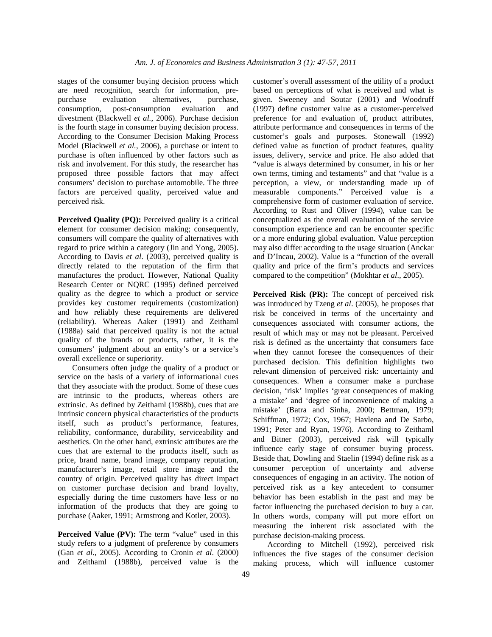stages of the consumer buying decision process which are need recognition, search for information, prepurchase evaluation alternatives, purchase, consumption, post-consumption evaluation and divestment (Blackwell *et al.*, 2006). Purchase decision is the fourth stage in consumer buying decision process. According to the Consumer Decision Making Process Model (Blackwell *et al.*, 2006), a purchase or intent to purchase is often influenced by other factors such as risk and involvement. For this study, the researcher has proposed three possible factors that may affect consumers' decision to purchase automobile. The three factors are perceived quality, perceived value and perceived risk.

Perceived Quality (PQ): Perceived quality is a critical element for consumer decision making; consequently, consumers will compare the quality of alternatives with regard to price within a category (Jin and Yong, 2005). According to Davis *et al*. (2003), perceived quality is directly related to the reputation of the firm that manufactures the product. However, National Quality Research Center or NQRC (1995) defined perceived quality as the degree to which a product or service provides key customer requirements (customization) and how reliably these requirements are delivered (reliability). Whereas Aaker (1991) and Zeithaml (1988a) said that perceived quality is not the actual quality of the brands or products, rather, it is the consumers' judgment about an entity's or a service's overall excellence or superiority.

 Consumers often judge the quality of a product or service on the basis of a variety of informational cues that they associate with the product. Some of these cues are intrinsic to the products, whereas others are extrinsic. As defined by Zeithaml (1988b), cues that are intrinsic concern physical characteristics of the products itself, such as product's performance, features, reliability, conformance, durability, serviceability and aesthetics. On the other hand, extrinsic attributes are the cues that are external to the products itself, such as price, brand name, brand image, company reputation, manufacturer's image, retail store image and the country of origin. Perceived quality has direct impact on customer purchase decision and brand loyalty, especially during the time customers have less or no information of the products that they are going to purchase (Aaker, 1991; Armstrong and Kotler, 2003).

**Perceived Value (PV):** The term "value" used in this study refers to a judgment of preference by consumers (Gan *et al*., 2005). According to Cronin *et al*. (2000) and Zeithaml (1988b), perceived value is the customer's overall assessment of the utility of a product based on perceptions of what is received and what is given. Sweeney and Soutar (2001) and Woodruff (1997) define customer value as a customer-perceived preference for and evaluation of, product attributes, attribute performance and consequences in terms of the customer's goals and purposes. Stonewall (1992) defined value as function of product features, quality issues, delivery, service and price. He also added that "value is always determined by consumer, in his or her own terms, timing and testaments" and that "value is a perception, a view, or understanding made up of measurable components." Perceived value is a comprehensive form of customer evaluation of service. According to Rust and Oliver (1994), value can be conceptualized as the overall evaluation of the service consumption experience and can be encounter specific or a more enduring global evaluation. Value perception may also differ according to the usage situation (Anckar and D'Incau, 2002). Value is a "function of the overall quality and price of the firm's products and services compared to the competition" (Mokhtar *et al*., 2005).

**Perceived Risk (PR):** The concept of perceived risk was introduced by Tzeng *et al*. (2005), he proposes that risk be conceived in terms of the uncertainty and consequences associated with consumer actions, the result of which may or may not be pleasant. Perceived risk is defined as the uncertainty that consumers face when they cannot foresee the consequences of their purchased decision. This definition highlights two relevant dimension of perceived risk: uncertainty and consequences. When a consumer make a purchase decision, 'risk' implies 'great consequences of making a mistake' and 'degree of inconvenience of making a mistake' (Batra and Sinha, 2000; Bettman, 1979; Schiffman, 1972; Cox, 1967; Havlena and De Sarbo, 1991; Peter and Ryan, 1976). According to Zeithaml and Bitner (2003), perceived risk will typically influence early stage of consumer buying process. Beside that, Dowling and Staelin (1994) define risk as a consumer perception of uncertainty and adverse consequences of engaging in an activity. The notion of perceived risk as a key antecedent to consumer behavior has been establish in the past and may be factor influencing the purchased decision to buy a car. In others words, company will put more effort on measuring the inherent risk associated with the purchase decision-making process.

 According to Mitchell (1992), perceived risk influences the five stages of the consumer decision making process, which will influence customer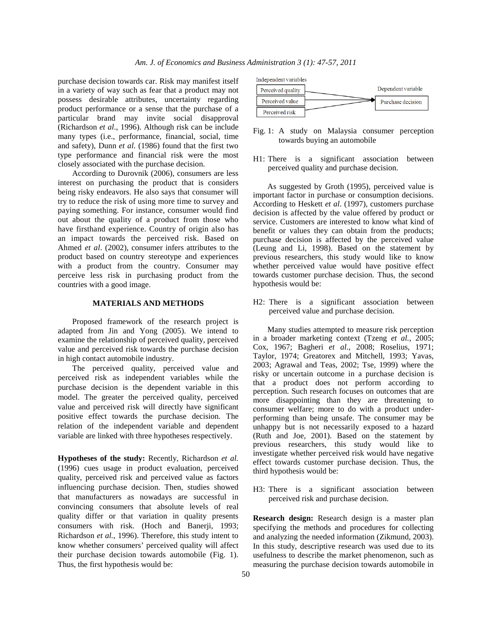purchase decision towards car. Risk may manifest itself in a variety of way such as fear that a product may not possess desirable attributes, uncertainty regarding product performance or a sense that the purchase of a particular brand may invite social disapproval (Richardson *et al*., 1996). Although risk can be include many types (i.e., performance, financial, social, time and safety), Dunn *et al*. (1986) found that the first two type performance and financial risk were the most closely associated with the purchase decision.

 According to Durovnik (2006), consumers are less interest on purchasing the product that is considers being risky endeavors. He also says that consumer will try to reduce the risk of using more time to survey and paying something. For instance, consumer would find out about the quality of a product from those who have firsthand experience. Country of origin also has an impact towards the perceived risk. Based on Ahmed *et al*. (2002), consumer infers attributes to the product based on country stereotype and experiences with a product from the country. Consumer may perceive less risk in purchasing product from the countries with a good image.

### **MATERIALS AND METHODS**

 Proposed framework of the research project is adapted from Jin and Yong (2005). We intend to examine the relationship of perceived quality, perceived value and perceived risk towards the purchase decision in high contact automobile industry.

 The perceived quality, perceived value and perceived risk as independent variables while the purchase decision is the dependent variable in this model. The greater the perceived quality, perceived value and perceived risk will directly have significant positive effect towards the purchase decision. The relation of the independent variable and dependent variable are linked with three hypotheses respectively.

**Hypotheses of the study:** Recently, Richardson *et al.* (1996) cues usage in product evaluation, perceived quality, perceived risk and perceived value as factors influencing purchase decision. Then, studies showed that manufacturers as nowadays are successful in convincing consumers that absolute levels of real quality differ or that variation in quality presents consumers with risk. (Hoch and Banerji, 1993; Richardson *et al.*, 1996). Therefore, this study intent to know whether consumers' perceived quality will affect their purchase decision towards automobile (Fig. 1). Thus, the first hypothesis would be:



- Fig. 1: A study on Malaysia consumer perception towards buying an automobile
- H1: There is a significant association between perceived quality and purchase decision.

 As suggested by Groth (1995), perceived value is important factor in purchase or consumption decisions. According to Heskett *et al*. (1997), customers purchase decision is affected by the value offered by product or service. Customers are interested to know what kind of benefit or values they can obtain from the products; purchase decision is affected by the perceived value (Leung and Li, 1998). Based on the statement by previous researchers, this study would like to know whether perceived value would have positive effect towards customer purchase decision. Thus, the second hypothesis would be:

H2: There is a significant association between perceived value and purchase decision.

 Many studies attempted to measure risk perception in a broader marketing context (Tzeng *et al.*, 2005; Cox, 1967; Bagheri *et al*., 2008; Roselius, 1971; Taylor, 1974; Greatorex and Mitchell, 1993; Yavas, 2003; Agrawal and Teas, 2002; Tse, 1999) where the risky or uncertain outcome in a purchase decision is that a product does not perform according to perception. Such research focuses on outcomes that are more disappointing than they are threatening to consumer welfare; more to do with a product underperforming than being unsafe. The consumer may be unhappy but is not necessarily exposed to a hazard (Ruth and Joe, 2001). Based on the statement by previous researchers, this study would like to investigate whether perceived risk would have negative effect towards customer purchase decision. Thus, the third hypothesis would be:

H3: There is a significant association between perceived risk and purchase decision.

**Research design:** Research design is a master plan specifying the methods and procedures for collecting and analyzing the needed information (Zikmund, 2003). In this study, descriptive research was used due to its usefulness to describe the market phenomenon, such as measuring the purchase decision towards automobile in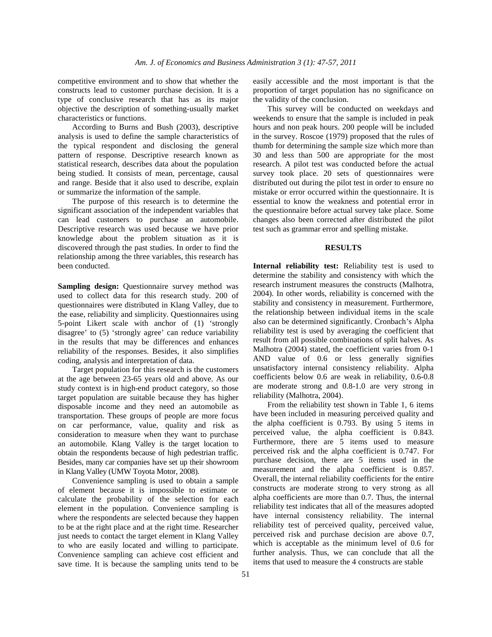competitive environment and to show that whether the constructs lead to customer purchase decision. It is a type of conclusive research that has as its major objective the description of something-usually market characteristics or functions.

 According to Burns and Bush (2003), descriptive analysis is used to define the sample characteristics of the typical respondent and disclosing the general pattern of response. Descriptive research known as statistical research, describes data about the population being studied. It consists of mean, percentage, causal and range. Beside that it also used to describe, explain or summarize the information of the sample.

 The purpose of this research is to determine the significant association of the independent variables that can lead customers to purchase an automobile. Descriptive research was used because we have prior knowledge about the problem situation as it is discovered through the past studies. In order to find the relationship among the three variables, this research has been conducted.

**Sampling design:** Ouestionnaire survey method was used to collect data for this research study. 200 of questionnaires were distributed in Klang Valley, due to the ease, reliability and simplicity. Questionnaires using 5-point Likert scale with anchor of (1) 'strongly disagree' to (5) 'strongly agree' can reduce variability in the results that may be differences and enhances reliability of the responses. Besides, it also simplifies coding, analysis and interpretation of data.

 Target population for this research is the customers at the age between 23-65 years old and above. As our study context is in high-end product category, so those target population are suitable because they has higher disposable income and they need an automobile as transportation. These groups of people are more focus on car performance, value, quality and risk as consideration to measure when they want to purchase an automobile. Klang Valley is the target location to obtain the respondents because of high pedestrian traffic. Besides, many car companies have set up their showroom in Klang Valley (UMW Toyota Motor, 2008).

 Convenience sampling is used to obtain a sample of element because it is impossible to estimate or calculate the probability of the selection for each element in the population. Convenience sampling is where the respondents are selected because they happen to be at the right place and at the right time. Researcher just needs to contact the target element in Klang Valley to who are easily located and willing to participate. Convenience sampling can achieve cost efficient and save time. It is because the sampling units tend to be easily accessible and the most important is that the proportion of target population has no significance on the validity of the conclusion.

 This survey will be conducted on weekdays and weekends to ensure that the sample is included in peak hours and non peak hours. 200 people will be included in the survey. Roscoe (1979) proposed that the rules of thumb for determining the sample size which more than 30 and less than 500 are appropriate for the most research. A pilot test was conducted before the actual survey took place. 20 sets of questionnaires were distributed out during the pilot test in order to ensure no mistake or error occurred within the questionnaire. It is essential to know the weakness and potential error in the questionnaire before actual survey take place. Some changes also been corrected after distributed the pilot test such as grammar error and spelling mistake.

#### **RESULTS**

**Internal reliability test:** Reliability test is used to determine the stability and consistency with which the research instrument measures the constructs (Malhotra, 2004). In other words, reliability is concerned with the stability and consistency in measurement. Furthermore, the relationship between individual items in the scale also can be determined significantly. Cronbach's Alpha reliability test is used by averaging the coefficient that result from all possible combinations of split halves. As Malhotra (2004) stated, the coefficient varies from 0-1 AND value of 0.6 or less generally signifies unsatisfactory internal consistency reliability. Alpha coefficients below 0.6 are weak in reliability, 0.6-0.8 are moderate strong and 0.8-1.0 are very strong in reliability (Malhotra, 2004).

 From the reliability test shown in Table 1, 6 items have been included in measuring perceived quality and the alpha coefficient is 0.793. By using 5 items in perceived value, the alpha coefficient is 0.843. Furthermore, there are 5 items used to measure perceived risk and the alpha coefficient is 0.747. For purchase decision, there are 5 items used in the measurement and the alpha coefficient is 0.857. Overall, the internal reliability coefficients for the entire constructs are moderate strong to very strong as all alpha coefficients are more than 0.7. Thus, the internal reliability test indicates that all of the measures adopted have internal consistency reliability. The internal reliability test of perceived quality, perceived value, perceived risk and purchase decision are above 0.7, which is acceptable as the minimum level of 0.6 for further analysis. Thus, we can conclude that all the items that used to measure the 4 constructs are stable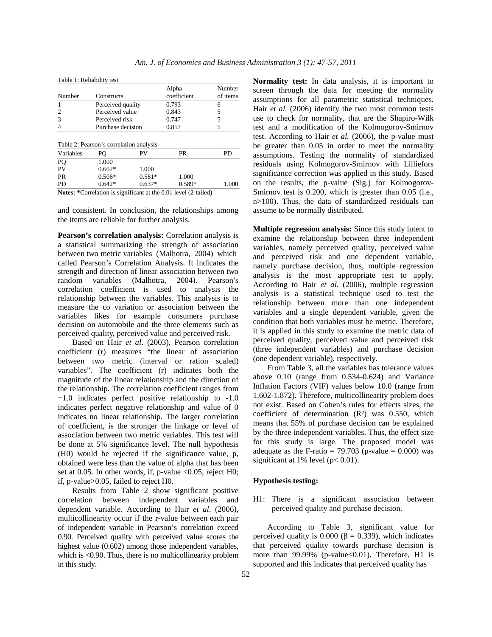Table 1: Reliability test

|           |                                         |                   | Alpha       | Number    |
|-----------|-----------------------------------------|-------------------|-------------|-----------|
| Number    | Constructs                              |                   | coefficient | of items  |
|           |                                         | Perceived quality |             | 6         |
| 2         | Perceived value                         |                   | 0.843       | 5         |
| 3         | Perceived risk                          |                   | 0.747       | 5         |
|           | Purchase decision                       |                   | 0.857       | 5         |
|           |                                         |                   |             |           |
|           | Table 2: Pearson's correlation analysis |                   |             |           |
| Variables | PO                                      | PV                | <b>PR</b>   | <b>PD</b> |
| PQ        | 1.000                                   |                   |             |           |
| PV        | $0.602*$                                | 1.000             |             |           |
| <b>PR</b> | $0.506*$                                | $0.581*$          | 1.000       |           |
| PD.       | $0.642*$                                | $0.637*$          | $0.589*$    | 1.000     |

**Notes: \***Correlation is significant at the 0.01 level (2-tailed)

and consistent. In conclusion, the relationships among the items are reliable for further analysis.

**Pearson's correlation analysis:** Correlation analysis is a statistical summarizing the strength of association between two metric variables (Malhotra, 2004) which called Pearson's Correlation Analysis. It indicates the strength and direction of linear association between two random variables (Malhotra, 2004). Pearson's correlation coefficient is used to analysis the relationship between the variables. This analysis is to measure the co variation or association between the variables likes for example consumers purchase decision on automobile and the three elements such as perceived quality, perceived value and perceived risk.

 Based on Hair *et al*. (2003), Pearson correlation coefficient (r) measures "the linear of association between two metric (interval or ration scaled) variables". The coefficient (r) indicates both the magnitude of the linear relationship and the direction of the relationship. The correlation coefficient ranges from +1.0 indicates perfect positive relationship to -1.0 indicates perfect negative relationship and value of 0 indicates no linear relationship. The larger correlation of coefficient, is the stronger the linkage or level of association between two metric variables. This test will be done at 5% significance level. The null hypothesis (H0) would be rejected if the significance value, p, obtained were less than the value of alpha that has been set at 0.05. In other words, if, p-value <0.05, reject H0; if, p-value>0.05, failed to reject H0.

 Results from Table 2 show significant positive correlation between independent variables and dependent variable. According to Hair *et al*. (2006), multicollinearity occur if the r-value between each pair of independent variable in Pearson's correlation exceed 0.90. Perceived quality with perceived value scores the highest value (0.602) among those independent variables, which is <0.90. Thus, there is no multicollinearity problem in this study.

**Normality test:** In data analysis, it is important to screen through the data for meeting the normality assumptions for all parametric statistical techniques. Hair *et al.* (2006) identify the two most common tests use to check for normality, that are the Shapiro-Wilk test and a modification of the Kolmogorov-Smirnov test. According to Hair *et al.* (2006), the p-value must be greater than 0.05 in order to meet the normality assumptions. Testing the normality of standardized residuals using Kolmogorov-Smirnov with Lilliefors significance correction was applied in this study. Based on the results, the p-value (Sig.) for Kolmogorov-Smirnov test is 0.200, which is greater than 0.05 (i.e., n>100). Thus, the data of standardized residuals can assume to be normally distributed.

**Multiple regression analysis:** Since this study intent to examine the relationship between three independent variables, namely perceived quality, perceived value and perceived risk and one dependent variable, namely purchase decision, thus, multiple regression analysis is the most appropriate test to apply. According to Hair *et al.* (2006), multiple regression analysis is a statistical technique used to test the relationship between more than one independent variables and a single dependent variable, given the condition that both variables must be metric. Therefore, it is applied in this study to examine the metric data of perceived quality, perceived value and perceived risk (three independent variables) and purchase decision (one dependent variable), respectively.

 From Table 3, all the variables has tolerance values above 0.10 (range from 0.534-0.624) and Variance Inflation Factors (VIF) values below 10.0 (range from 1.602-1.872). Therefore, multicollinearity problem does not exist. Based on Cohen's rules for effects sizes, the coefficient of determination (R²) was 0.550, which means that 55% of purchase decision can be explained by the three independent variables. Thus, the effect size for this study is large. The proposed model was adequate as the F-ratio =  $79.703$  (p-value = 0.000) was significant at 1% level ( $p < 0.01$ ).

### **Hypothesis testing:**

H1: There is a significant association between perceived quality and purchase decision.

 According to Table 3, significant value for perceived quality is 0.000 ( $\beta$  = 0.339), which indicates that perceived quality towards purchase decision is more than  $99.99\%$  (p-value < 0.01). Therefore, H1 is supported and this indicates that perceived quality has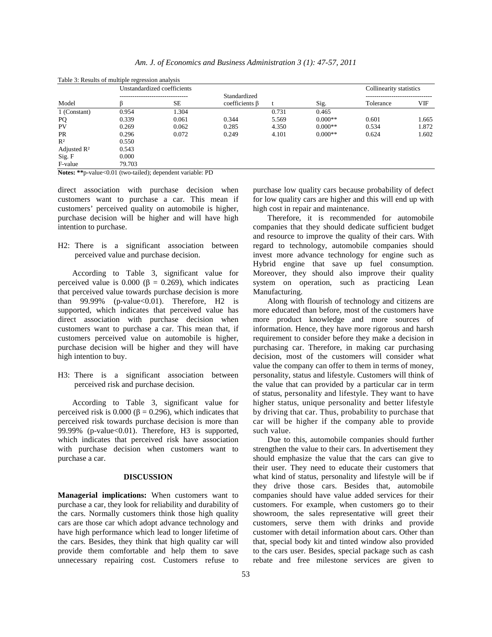|  |  | Am. J. of Economics and Business Administration 3 (1): 47-57, 2011 |  |  |
|--|--|--------------------------------------------------------------------|--|--|
|  |  |                                                                    |  |  |

|                         | Unstandardized coefficients |           |                |       |           | Collinearity statistics |       |
|-------------------------|-----------------------------|-----------|----------------|-------|-----------|-------------------------|-------|
|                         |                             |           | Standardized   |       |           |                         |       |
| Model                   |                             | <b>SE</b> | coefficients B |       | Sig.      | Tolerance               | VIF   |
| 1 (Constant)            | 0.954                       | 1.304     |                | 0.731 | 0.465     |                         |       |
| PO.                     | 0.339                       | 0.061     | 0.344          | 5.569 | $0.000**$ | 0.601                   | 1.665 |
| <b>PV</b>               | 0.269                       | 0.062     | 0.285          | 4.350 | $0.000**$ | 0.534                   | 1.872 |
| <b>PR</b>               | 0.296                       | 0.072     | 0.249          | 4.101 | $0.000**$ | 0.624                   | 1.602 |
| $\mathbb{R}^2$          | 0.550                       |           |                |       |           |                         |       |
| Adjusted $\mathbb{R}^2$ | 0.543                       |           |                |       |           |                         |       |
| Sig. F                  | 0.000                       |           |                |       |           |                         |       |
| F-value                 | 79.703                      |           |                |       |           |                         |       |

| Table 3: Results of multiple regression analysis |
|--------------------------------------------------|
| Unetanderdized acefficier                        |

**Notes: \*\***p-value<0.01 (two-tailed); dependent variable: PD

direct association with purchase decision when customers want to purchase a car. This mean if customers' perceived quality on automobile is higher, purchase decision will be higher and will have high intention to purchase.

H2: There is a significant association between perceived value and purchase decision.

 According to Table 3, significant value for perceived value is 0.000 ( $\beta$  = 0.269), which indicates that perceived value towards purchase decision is more than 99.99% (p-value  $< 0.01$ ). Therefore, H2 is supported, which indicates that perceived value has direct association with purchase decision when customers want to purchase a car. This mean that, if customers perceived value on automobile is higher, purchase decision will be higher and they will have high intention to buy.

H3: There is a significant association between perceived risk and purchase decision.

 According to Table 3, significant value for perceived risk is 0.000 ( $\beta$  = 0.296), which indicates that perceived risk towards purchase decision is more than 99.99% (p-value<0.01). Therefore, H3 is supported, which indicates that perceived risk have association with purchase decision when customers want to purchase a car.

#### **DISCUSSION**

**Managerial implications:** When customers want to purchase a car, they look for reliability and durability of the cars. Normally customers think those high quality cars are those car which adopt advance technology and have high performance which lead to longer lifetime of the cars. Besides, they think that high quality car will provide them comfortable and help them to save unnecessary repairing cost. Customers refuse to purchase low quality cars because probability of defect for low quality cars are higher and this will end up with high cost in repair and maintenance.

 Therefore, it is recommended for automobile companies that they should dedicate sufficient budget and resource to improve the quality of their cars. With regard to technology, automobile companies should invest more advance technology for engine such as Hybrid engine that save up fuel consumption. Moreover, they should also improve their quality system on operation, such as practicing Lean Manufacturing.

 Along with flourish of technology and citizens are more educated than before, most of the customers have more product knowledge and more sources of information. Hence, they have more rigorous and harsh requirement to consider before they make a decision in purchasing car. Therefore, in making car purchasing decision, most of the customers will consider what value the company can offer to them in terms of money, personality, status and lifestyle. Customers will think of the value that can provided by a particular car in term of status, personality and lifestyle. They want to have higher status, unique personality and better lifestyle by driving that car. Thus, probability to purchase that car will be higher if the company able to provide such value.

 Due to this, automobile companies should further strengthen the value to their cars. In advertisement they should emphasize the value that the cars can give to their user. They need to educate their customers that what kind of status, personality and lifestyle will be if they drive those cars. Besides that, automobile companies should have value added services for their customers. For example, when customers go to their showroom, the sales representative will greet their customers, serve them with drinks and provide customer with detail information about cars. Other than that, special body kit and tinted window also provided to the cars user. Besides, special package such as cash rebate and free milestone services are given to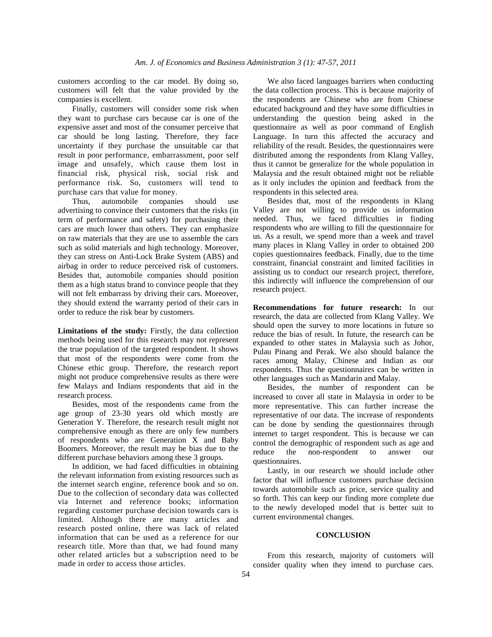customers according to the car model. By doing so, customers will felt that the value provided by the companies is excellent.

 Finally, customers will consider some risk when they want to purchase cars because car is one of the expensive asset and most of the consumer perceive that car should be long lasting. Therefore, they face uncertainty if they purchase the unsuitable car that result in poor performance, embarrassment, poor self image and unsafely, which cause them lost in financial risk, physical risk, social risk and performance risk. So, customers will tend to purchase cars that value for money.

 Thus, automobile companies should use advertising to convince their customers that the risks (in term of performance and safety) for purchasing their cars are much lower than others. They can emphasize on raw materials that they are use to assemble the cars such as solid materials and high technology. Moreover, they can stress on Anti-Lock Brake System (ABS) and airbag in order to reduce perceived risk of customers. Besides that, automobile companies should position them as a high status brand to convince people that they will not felt embarrass by driving their cars. Moreover, they should extend the warranty period of their cars in order to reduce the risk bear by customers.

**Limitations of the study:** Firstly, the data collection methods being used for this research may not represent the true population of the targeted respondent. It shows that most of the respondents were come from the Chinese ethic group. Therefore, the research report might not produce comprehensive results as there were few Malays and Indians respondents that aid in the research process.

 Besides, most of the respondents came from the age group of 23-30 years old which mostly are Generation Y. Therefore, the research result might not comprehensive enough as there are only few numbers of respondents who are Generation X and Baby Boomers. Moreover, the result may be bias due to the different purchase behaviors among these 3 groups.

 In addition, we had faced difficulties in obtaining the relevant information from existing resources such as the internet search engine, reference book and so on. Due to the collection of secondary data was collected via Internet and reference books; information regarding customer purchase decision towards cars is limited. Although there are many articles and research posted online, there was lack of related information that can be used as a reference for our research title. More than that, we had found many other related articles but a subscription need to be made in order to access those articles.

 We also faced languages barriers when conducting the data collection process. This is because majority of the respondents are Chinese who are from Chinese educated background and they have some difficulties in understanding the question being asked in the questionnaire as well as poor command of English Language. In turn this affected the accuracy and reliability of the result. Besides, the questionnaires were distributed among the respondents from Klang Valley, thus it cannot be generalize for the whole population in Malaysia and the result obtained might not be reliable as it only includes the opinion and feedback from the respondents in this selected area.

 Besides that, most of the respondents in Klang Valley are not willing to provide us information needed. Thus, we faced difficulties in finding respondents who are willing to fill the questionnaire for us. As a result, we spend more than a week and travel many places in Klang Valley in order to obtained 200 copies questionnaires feedback. Finally, due to the time constraint, financial constraint and limited facilities in assisting us to conduct our research project, therefore, this indirectly will influence the comprehension of our research project.

**Recommendations for future research:** In our research, the data are collected from Klang Valley. We should open the survey to more locations in future so reduce the bias of result. In future, the research can be expanded to other states in Malaysia such as Johor, Pulau Pinang and Perak. We also should balance the races among Malay, Chinese and Indian as our respondents. Thus the questionnaires can be written in other languages such as Mandarin and Malay.

 Besides, the number of respondent can be increased to cover all state in Malaysia in order to be more representative. This can further increase the representative of our data. The increase of respondents can be done by sending the questionnaires through internet to target respondent. This is because we can control the demographic of respondent such as age and reduce the non-respondent to answer our questionnaires.

 Lastly, in our research we should include other factor that will influence customers purchase decision towards automobile such as price, service quality and so forth. This can keep our finding more complete due to the newly developed model that is better suit to current environmental changes.

# **CONCLUSION**

 From this research, majority of customers will consider quality when they intend to purchase cars.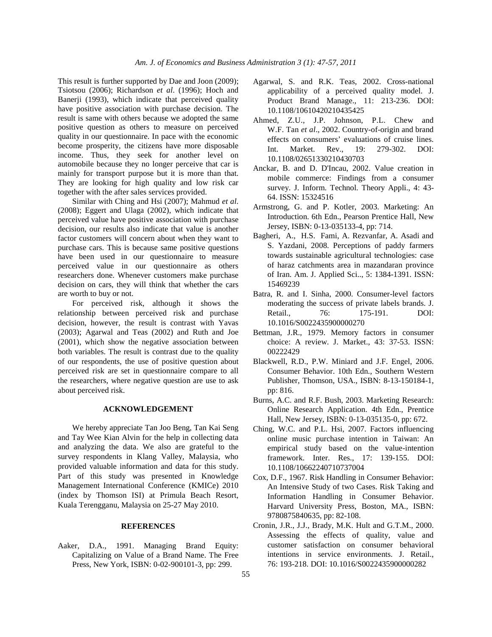This result is further supported by Dae and Joon (2009); Tsiotsou (2006); Richardson *et al*. (1996); Hoch and Banerji (1993), which indicate that perceived quality have positive association with purchase decision. The result is same with others because we adopted the same positive question as others to measure on perceived quality in our questionnaire. In pace with the economic become prosperity, the citizens have more disposable income. Thus, they seek for another level on automobile because they no longer perceive that car is mainly for transport purpose but it is more than that. They are looking for high quality and low risk car together with the after sales services provided.

 Similar with Ching and Hsi (2007); Mahmud *et al*. (2008); Eggert and Ulaga (2002), which indicate that perceived value have positive association with purchase decision, our results also indicate that value is another factor customers will concern about when they want to purchase cars. This is because same positive questions have been used in our questionnaire to measure perceived value in our questionnaire as others researchers done. Whenever customers make purchase decision on cars, they will think that whether the cars are worth to buy or not.

 For perceived risk, although it shows the relationship between perceived risk and purchase decision, however, the result is contrast with Yavas (2003); Agarwal and Teas (2002) and Ruth and Joe (2001), which show the negative association between both variables. The result is contrast due to the quality of our respondents, the use of positive question about perceived risk are set in questionnaire compare to all the researchers, where negative question are use to ask about perceived risk.

#### **ACKNOWLEDGEMENT**

 We hereby appreciate Tan Joo Beng, Tan Kai Seng and Tay Wee Kian Alvin for the help in collecting data and analyzing the data. We also are grateful to the survey respondents in Klang Valley, Malaysia, who provided valuable information and data for this study. Part of this study was presented in Knowledge Management International Conference (KMICe) 2010 (index by Thomson ISI) at Primula Beach Resort, Kuala Terengganu, Malaysia on 25-27 May 2010.

#### **REFERENCES**

Aaker, D.A., 1991. Managing Brand Equity: Capitalizing on Value of a Brand Name. The Free Press, New York, ISBN: 0-02-900101-3, pp: 299.

- Agarwal, S. and R.K. Teas, 2002. Cross-national applicability of a perceived quality model. J. Product Brand Manage., 11: 213-236. DOI: 10.1108/10610420210435425
- Ahmed, Z.U., J.P. Johnson, P.L. Chew and W.F. Tan *et al*., 2002. Country-of-origin and brand effects on consumers' evaluations of cruise lines. Int. Market. Rev., 19: 279-302. DOI: 10.1108/02651330210430703
- Anckar, B. and D. D'Incau, 2002. Value creation in mobile commerce: Findings from a consumer survey. J. Inform. Technol. Theory Appli., 4: 43- 64. ISSN: 15324516
- Armstrong, G. and P. Kotler, 2003. Marketing: An Introduction. 6th Edn., Pearson Prentice Hall, New Jersey, ISBN: 0-13-035133-4, pp: 714.
- Bagheri, A., H.S. Fami, A. Rezvanfar, A. Asadi and S. Yazdani, 2008. Perceptions of paddy farmers towards sustainable agricultural technologies: case of haraz catchments area in mazandaran province of Iran. Am. J. Applied Sci.., 5: 1384-1391. ISSN: 15469239
- Batra, R. and I. Sinha, 2000. Consumer-level factors moderating the success of private labels brands. J. Retail., 76: 175-191. DOI: 10.1016/S0022435900000270
- Bettman, J.R., 1979. Memory factors in consumer choice: A review. J. Market., 43: 37-53. ISSN: 00222429
- Blackwell, R.D., P.W. Miniard and J.F. Engel, 2006. Consumer Behavior. 10th Edn., Southern Western Publisher, Thomson, USA., ISBN: 8-13-150184-1, pp: 816.
- Burns, A.C. and R.F. Bush, 2003. Marketing Research: Online Research Application. 4th Edn., Prentice Hall, New Jersey, ISBN: 0-13-035135-0, pp: 672.
- Ching, W.C. and P.L. Hsi, 2007. Factors influencing online music purchase intention in Taiwan: An empirical study based on the value-intention framework. Inter. Res., 17: 139-155. DOI: 10.1108/10662240710737004
- Cox, D.F., 1967. Risk Handling in Consumer Behavior: An Intensive Study of two Cases. Risk Taking and Information Handling in Consumer Behavior. Harvard University Press, Boston, MA., ISBN: 9780875840635, pp: 82-108.
- Cronin, J.R., J.J., Brady, M.K. Hult and G.T.M., 2000. Assessing the effects of quality, value and customer satisfaction on consumer behavioral intentions in service environments. J. Retail., 76: 193-218. DOI: 10.1016/S0022435900000282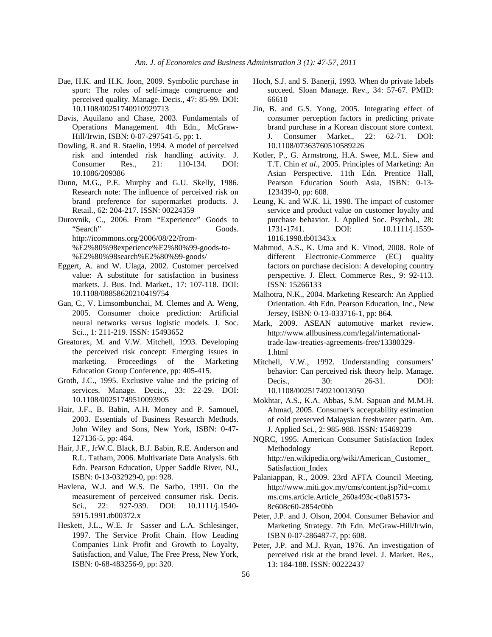- Dae, H.K. and H.K. Joon, 2009. Symbolic purchase in sport: The roles of self-image congruence and perceived quality. Manage. Decis., 47: 85-99. DOI: 10.1108/00251740910929713
- Davis, Aquilano and Chase, 2003. Fundamentals of Operations Management. 4th Edn., McGraw-Hill/Irwin, ISBN: 0-07-297541-5, pp: 1.
- Dowling, R. and R. Staelin, 1994. A model of perceived risk and intended risk handling activity. J. Consumer Res., 21: 110-134. DOI: 10.1086/209386
- Dunn, M.G., P.E. Murphy and G.U. Skelly, 1986. Research note: The influence of perceived risk on brand preference for supermarket products. J. Retail., 62: 204-217. ISSN: 00224359
- Durovnik, C., 2006. From "Experience" Goods to "Search" Goods. http://icommons.org/2006/08/22/from- %E2%80%98experience%E2%80%99-goods-to- %E2%80%98search%E2%80%99-goods/
- Eggert, A. and W. Ulaga, 2002. Customer perceived value: A substitute for satisfaction in business markets. J. Bus. Ind. Market., 17: 107-118. DOI: 10.1108/08858620210419754
- Gan, C., V. Limsombunchai, M. Clemes and A. Weng, 2005. Consumer choice prediction: Artificial neural networks versus logistic models. J. Soc. Sci.., 1: 211-219. ISSN: 15493652
- Greatorex, M. and V.W. Mitchell, 1993. Developing the perceived risk concept: Emerging issues in marketing. Proceedings of the Marketing Education Group Conference, pp: 405-415.
- Groth, J.C., 1995. Exclusive value and the pricing of services. Manage. Decis., 33: 22-29. DOI: 10.1108/00251749510093905
- Hair, J.F., B. Babin, A.H. Money and P. Samouel, 2003. Essentials of Business Research Methods. John Wiley and Sons, New York, ISBN: 0-47- 127136-5, pp: 464.
- Hair, J.F., JrW.C. Black, B.J. Babin, R.E. Anderson and R.L. Tatham, 2006. Multivariate Data Analysis. 6th Edn. Pearson Education, Upper Saddle River, NJ., ISBN: 0-13-032929-0, pp: 928.
- Havlena, W.J. and W.S. De Sarbo, 1991. On the measurement of perceived consumer risk. Decis. Sci., 22: 927-939. DOI: 10.1111/j.1540-5915.1991.tb00372.x
- Heskett, J.L., W.E. Jr Sasser and L.A. Schlesinger, 1997. The Service Profit Chain. How Leading Companies Link Profit and Growth to Loyalty, Satisfaction, and Value, The Free Press, New York, ISBN: 0-68-483256-9, pp: 320.
- Hoch, S.J. and S. Banerji, 1993. When do private labels succeed. Sloan Manage. Rev., 34: 57-67. PMID: 66610
- Jin, B. and G.S. Yong, 2005. Integrating effect of consumer perception factors in predicting private brand purchase in a Korean discount store context. J. Consumer Market., 22: 62-71. DOI: 10.1108/07363760510589226
- Kotler, P., G. Armstrong, H.A. Swee, M.L. Siew and T.T. Chin *et al*., 2005. Principles of Marketing: An Asian Perspective. 11th Edn. Prentice Hall, Pearson Education South Asia, ISBN: 0-13- 123439-0, pp: 608.
- Leung, K. and W.K. Li, 1998. The impact of customer service and product value on customer loyalty and purchase behavior. J. Applied Soc. Psychol., 28: 1731-1741. DOI: 10.1111/j.1559-1816.1998.tb01343.x
- Mahmud, A.S., K. Uma and K. Vinod, 2008. Role of different Electronic-Commerce (EC) quality factors on purchase decision: A developing country perspective. J. Elect. Commerce Res., 9: 92-113. ISSN: 15266133
- Malhotra, N.K., 2004. Marketing Research: An Applied Orientation. 4th Edn. Pearson Education, Inc., New Jersey, ISBN: 0-13-033716-1, pp: 864.
- Mark, 2009. ASEAN automotive market review. http://www.allbusiness.com/legal/internationaltrade-law-treaties-agreements-free/13380329- 1.html
- Mitchell, V.W., 1992. Understanding consumers' behavior: Can perceived risk theory help. Manage. Decis., 30: 26-31. DOI: 10.1108/00251749210013050
- Mokhtar, A.S., K.A. Abbas, S.M. Sapuan and M.M.H. Ahmad, 2005. Consumer's acceptability estimation of cold preserved Malaysian freshwater patin. Am. J. Applied Sci., 2: 985-988. ISSN: 15469239
- NQRC, 1995. American Consumer Satisfaction Index Methodology Report. http://en.wikipedia.org/wiki/American\_Customer\_ Satisfaction\_Index
- Palaniappan, R., 2009. 23rd AFTA Council Meeting. http://www.miti.gov.my/cms/content.jsp?id=com.t ms.cms.article.Article\_260a493c-c0a81573- 8c608c60-2854c0bb
- Peter, J.P. and J. Olson, 2004. Consumer Behavior and Marketing Strategy. 7th Edn. McGraw-Hill/Irwin, ISBN 0-07-286487-7, pp: 608.
- Peter, J.P. and M.J. Ryan, 1976. An investigation of perceived risk at the brand level. J. Market. Res., 13: 184-188. ISSN: 00222437